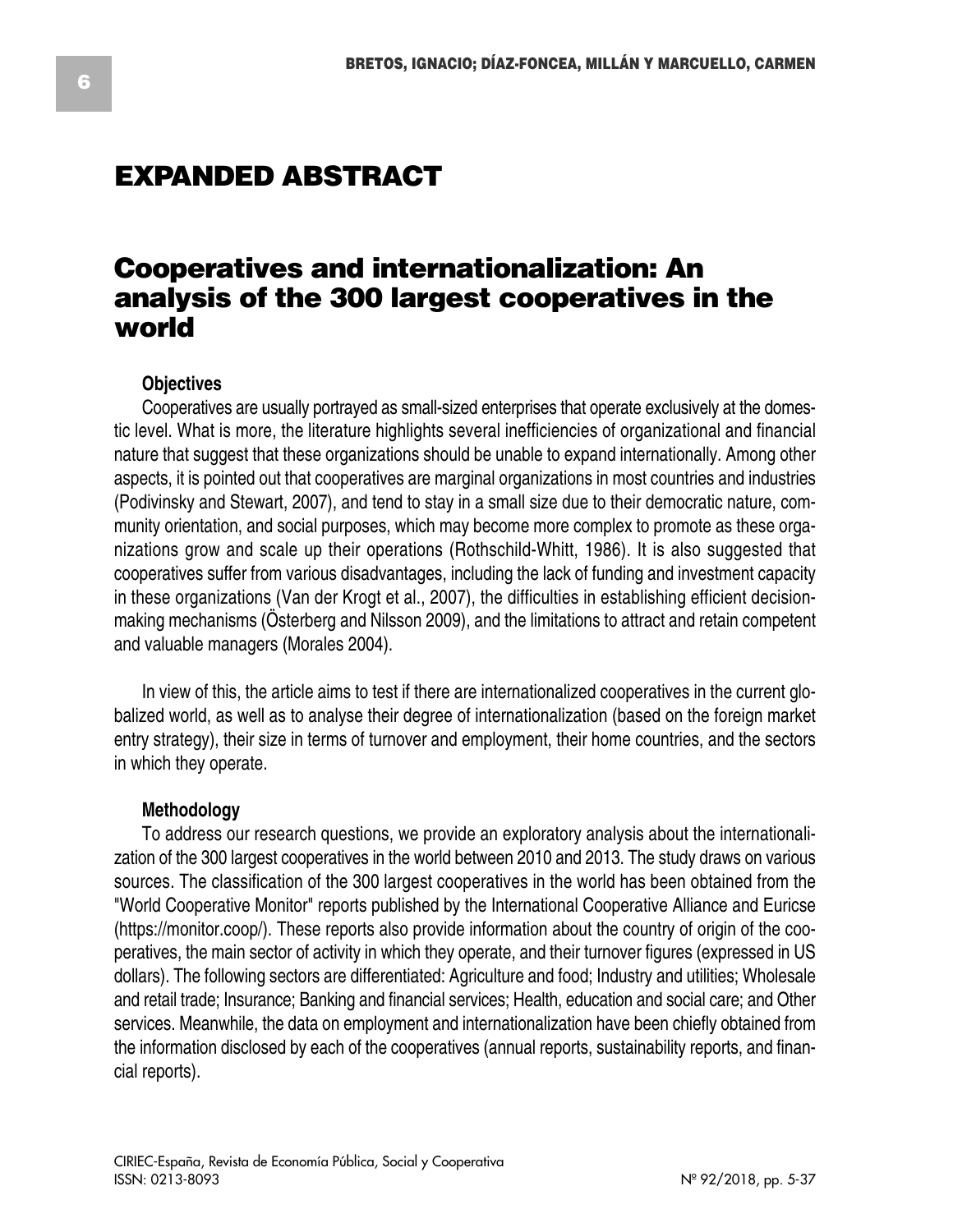# **EXPANDED ABSTRACT**

# **Cooperatives and internationalization: An analysis of the 300 largest cooperatives in the world**

## **Objectives**

Cooperatives are usually portrayed as small-sized enterprises that operate exclusively at the domestic level. What is more, the literature highlights several inefficiencies of organizational and financial nature that suggest that these organizations should be unable to expand internationally. Among other aspects, it is pointed out that cooperatives are marginal organizations in most countries and industries (Podivinsky and Stewart, 2007), and tend to stay in a small size due to their democratic nature, community orientation, and social purposes, which may become more complex to promote as these organizations grow and scale up their operations (Rothschild-Whitt, 1986). It is also suggested that cooperatives suffer from various disadvantages, including the lack of funding and investment capacity in these organizations (Van der Krogt et al., 2007), the difficulties in establishing efficient decisionmaking mechanisms (Österberg and Nilsson 2009), and the limitations to attract and retain competent and valuable managers (Morales 2004).

In view of this, the article aims to test if there are internationalized cooperatives in the current globalized world, as well as to analyse their degree of internationalization (based on the foreign market entry strategy), their size in terms of turnover and employment, their home countries, and the sectors in which they operate.

#### **Methodology**

To address our research questions, we provide an exploratory analysis about the internationalization of the 300 largest cooperatives in the world between 2010 and 2013. The study draws on various sources. The classification of the 300 largest cooperatives in the world has been obtained from the "World Cooperative Monitor" reports published by the International Cooperative Alliance and Euricse (https://monitor.coop/). These reports also provide information about the country of origin of the cooperatives, the main sector of activity in which they operate, and their turnover figures (expressed in US dollars). The following sectors are differentiated: Agriculture and food; Industry and utilities; Wholesale and retail trade; Insurance; Banking and financial services; Health, education and social care; and Other services. Meanwhile, the data on employment and internationalization have been chiefly obtained from the information disclosed by each of the cooperatives (annual reports, sustainability reports, and financial reports).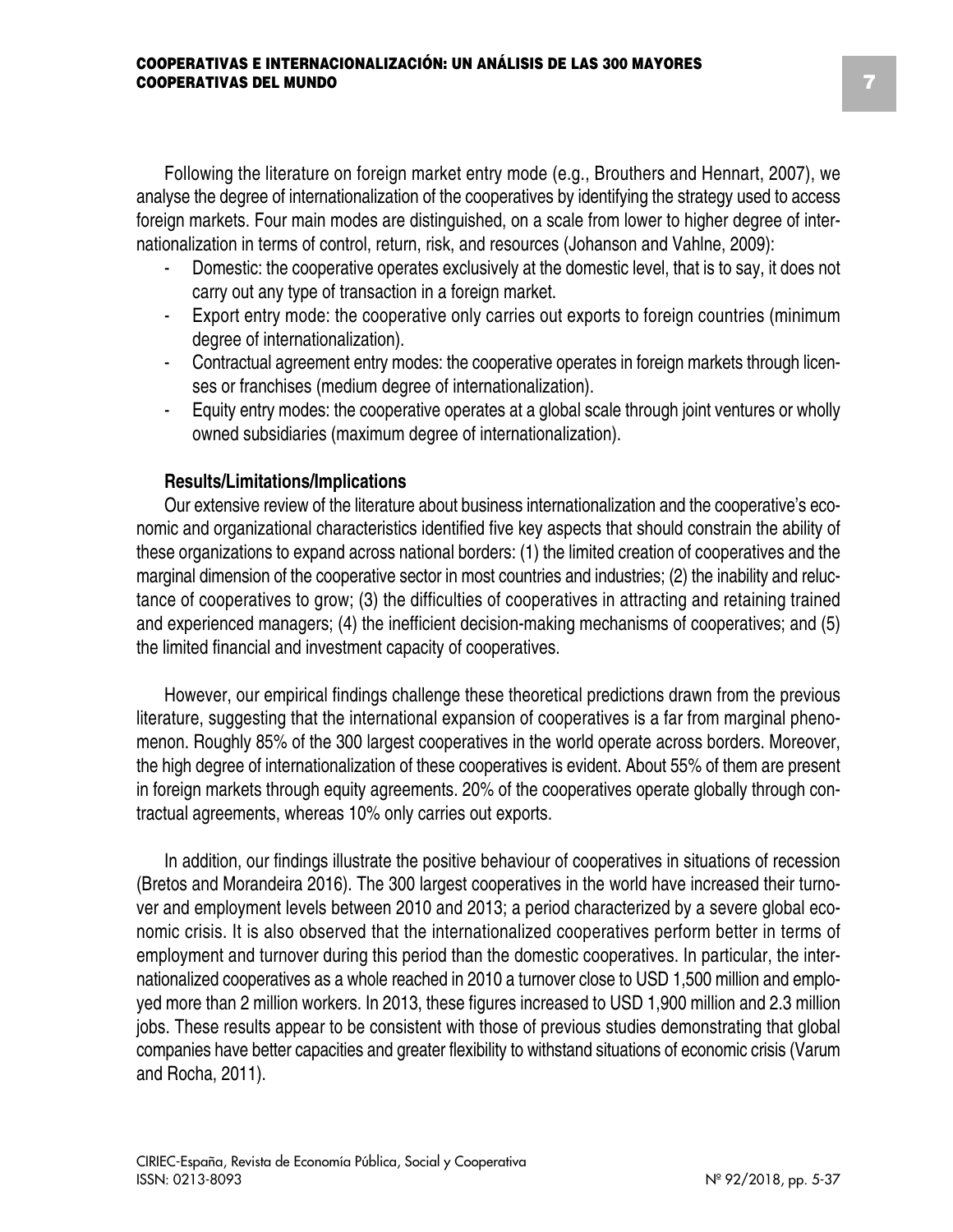Following the literature on foreign market entry mode (e.g., Brouthers and Hennart, 2007), we analyse the degree of internationalization of the cooperatives by identifying the strategy used to access foreign markets. Four main modes are distinguished, on a scale from lower to higher degree of internationalization in terms of control, return, risk, and resources (Johanson and Vahlne, 2009):

- Domestic: the cooperative operates exclusively at the domestic level, that is to say, it does not carry out any type of transaction in a foreign market.
- Export entry mode: the cooperative only carries out exports to foreign countries (minimum degree of internationalization).
- Contractual agreement entry modes: the cooperative operates in foreign markets through licenses or franchises (medium degree of internationalization).
- Equity entry modes: the cooperative operates at a global scale through joint ventures or wholly owned subsidiaries (maximum degree of internationalization).

## **Results/Limitations/Implications**

ISSN: 0213-8093

Our extensive review of the literature about business internationalization and the cooperative's economic and organizational characteristics identified five key aspects that should constrain the ability of these organizations to expand across national borders: (1) the limited creation of cooperatives and the marginal dimension of the cooperative sector in most countries and industries; (2) the inability and reluctance of cooperatives to grow; (3) the difficulties of cooperatives in attracting and retaining trained and experienced managers; (4) the inefficient decision-making mechanisms of cooperatives; and (5) the limited financial and investment capacity of cooperatives.

However, our empirical findings challenge these theoretical predictions drawn from the previous literature, suggesting that the international expansion of cooperatives is a far from marginal phenomenon. Roughly 85% of the 300 largest cooperatives in the world operate across borders. Moreover, the high degree of internationalization of these cooperatives is evident. About 55% of them are present in foreign markets through equity agreements. 20% of the cooperatives operate globally through contractual agreements, whereas 10% only carries out exports.

In addition, our findings illustrate the positive behaviour of cooperatives in situations of recession (Bretos and Morandeira 2016). The 300 largest cooperatives in the world have increased their turnover and employment levels between 2010 and 2013; a period characterized by a severe global economic crisis. It is also observed that the internationalized cooperatives perform better in terms of employment and turnover during this period than the domestic cooperatives. In particular, the internationalized cooperatives as a whole reached in 2010 a turnover close to USD 1,500 million and employed more than 2 million workers. In 2013, these figures increased to USD 1,900 million and 2.3 million jobs. These results appear to be consistent with those of previous studies demonstrating that global companies have better capacities and greater flexibility to withstand situations of economic crisis (Varum and Rocha, 2011).